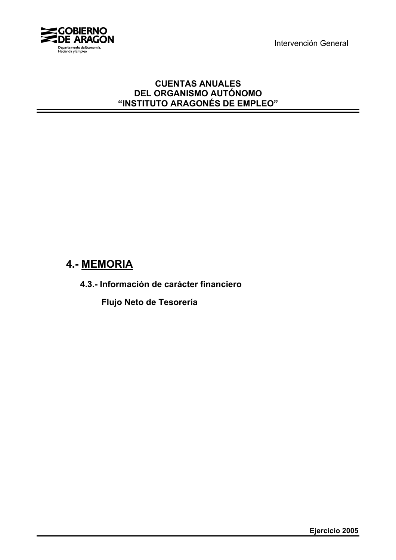Intervención General



## **CUENTAS ANUALES DEL ORGANISMO AUTÓNOMO "INSTITUTO ARAGONÉS DE EMPLEO"**

## **4.- MEMORIA**

**4.3.- Información de carácter financiero**

**Flujo Neto de Tesorería**